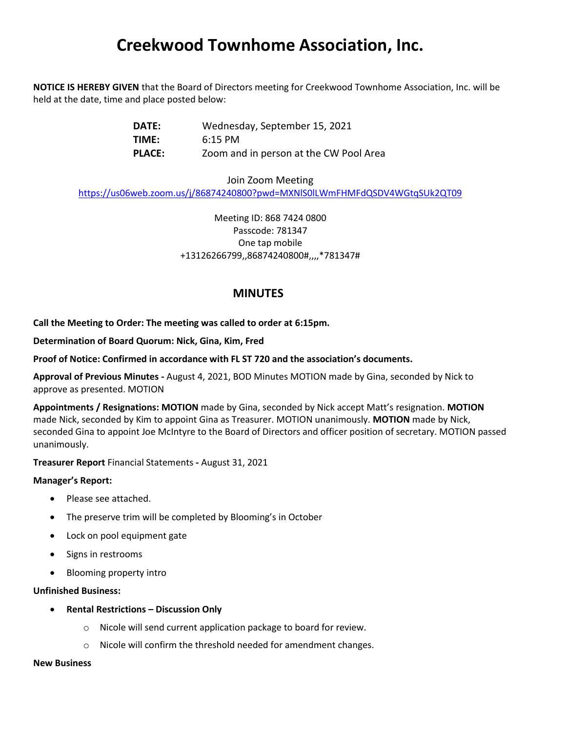# **Creekwood Townhome Association, Inc.**

**NOTICE IS HEREBY GIVEN** that the Board of Directors meeting for Creekwood Townhome Association, Inc. will be held at the date, time and place posted below:

| DATE:         | Wednesday, September 15, 2021          |
|---------------|----------------------------------------|
| TIME:         | $6:15$ PM                              |
| <b>PLACE:</b> | Zoom and in person at the CW Pool Area |

Join Zoom Meeting https://us06web.zoom.us/j/86874240800?pwd=MXNlS0lLWmFHMFdQSDV4WGtqSUk2QT09

> Meeting ID: 868 7424 0800 Passcode: 781347 One tap mobile +13126266799,,86874240800#,,,,\*781347#

## **MINUTES**

**Call the Meeting to Order: The meeting was called to order at 6:15pm.**

**Determination of Board Quorum: Nick, Gina, Kim, Fred** 

**Proof of Notice: Confirmed in accordance with FL ST 720 and the association's documents.** 

**Approval of Previous Minutes -** August 4, 2021, BOD Minutes MOTION made by Gina, seconded by Nick to approve as presented. MOTION

**Appointments / Resignations: MOTION** made by Gina, seconded by Nick accept Matt's resignation. **MOTION**  made Nick, seconded by Kim to appoint Gina as Treasurer. MOTION unanimously. **MOTION** made by Nick, seconded Gina to appoint Joe McIntyre to the Board of Directors and officer position of secretary. MOTION passed unanimously.

**Treasurer Report** Financial Statements **-** August 31, 2021

### **Manager's Report:**

- Please see attached.
- The preserve trim will be completed by Blooming's in October
- Lock on pool equipment gate
- Signs in restrooms
- Blooming property intro

#### **Unfinished Business:**

- **Rental Restrictions – Discussion Only** 
	- o Nicole will send current application package to board for review.
	- o Nicole will confirm the threshold needed for amendment changes.

#### **New Business**